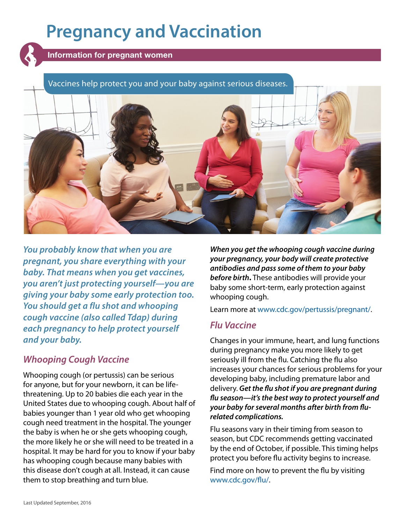# **Pregnancy and Vaccination**



Information for pregnant women

#### Vaccines help protect you and your baby against serious diseases.



*You probably know that when you are pregnant, you share everything with your baby. That means when you get vaccines, you aren't just protecting yourself—you are giving your baby some early protection too. You should get a flu shot and whooping cough vaccine (also called Tdap) during each pregnancy to help protect yourself and your baby.*

#### *Whooping Cough Vaccine*

Whooping cough (or pertussis) can be serious for anyone, but for your newborn, it can be lifethreatening. Up to 20 babies die each year in the United States due to whooping cough. About half of babies younger than 1 year old who get whooping cough need treatment in the hospital. The younger the baby is when he or she gets whooping cough, the more likely he or she will need to be treated in a hospital. It may be hard for you to know if your baby has whooping cough because many babies with this disease don't cough at all. Instead, it can cause them to stop breathing and turn blue.

*When you get the whooping cough vaccine during your pregnancy, your body will create protective antibodies and pass some of them to your baby before birth***.** These antibodies will provide your baby some short-term, early protection against whooping cough.

Learn more at [www.cdc.gov/pertussis/pregnant/](https://www.cdc.gov/pertussis/pregnant/).

#### *Flu Vaccine*

Changes in your immune, heart, and lung functions during pregnancy make you more likely to get seriously ill from the flu. Catching the flu also increases your chances for serious problems for your developing baby, including premature labor and delivery. *Get the flu shot if you are pregnant during flu season—it's the best way to protect yourself and your baby for several months after birth from flurelated complications.*

Flu seasons vary in their timing from season to season, but CDC recommends getting vaccinated by the end of October, if possible. This timing helps protect you before flu activity begins to increase.

Find more on how to prevent the flu by visiting [www.cdc.gov/flu/.](https://www.cdc.gov/flu/)